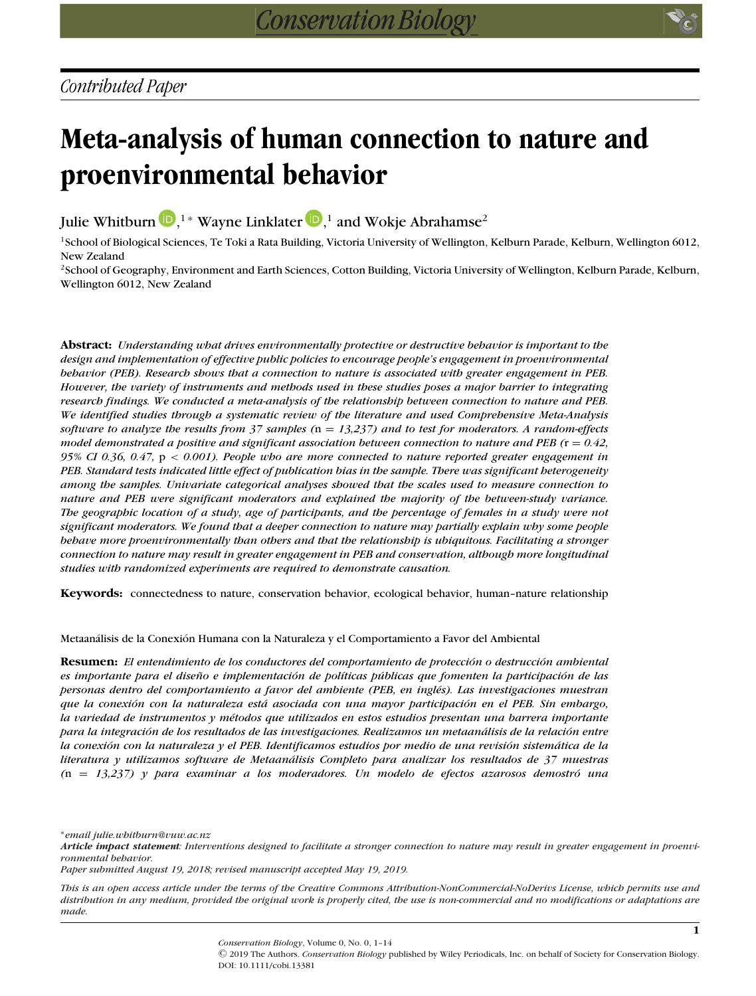# **Meta-analysis of human connection to nature and proenvironmental behavior**

Julie Whitburn  $\mathbf{D}, ^{1*}$  $\mathbf{D}, ^{1*}$  $\mathbf{D}, ^{1*}$  Wayne Linklater  $\mathbf{D}, ^{1}$  and Wokje Abrahamse $^2$ 

<sup>1</sup>School of Biological Sciences, Te Toki a Rata Building, Victoria University of Wellington, Kelburn Parade, Kelburn, Wellington 6012, New Zealand

<sup>2</sup>School of Geography, Environment and Earth Sciences, Cotton Building, Victoria University of Wellington, Kelburn Parade, Kelburn, Wellington 6012, New Zealand

**Abstract:** *Understanding what drives environmentally protective or destructive behavior is important to the design and implementation of effective public policies to encourage people's engagement in proenvironmental behavior (PEB). Research shows that a connection to nature is associated with greater engagement in PEB. However, the variety of instruments and methods used in these studies poses a major barrier to integrating research findings. We conducted a meta-analysis of the relationship between connection to nature and PEB. We identified studies through a systematic review of the literature and used Comprehensive Meta-Analysis software to analyze the results from 37 samples (*n = *13,237) and to test for moderators. A random-effects model demonstrated a positive and significant association between connection to nature and PEB (*r = *0.42, 95% CI 0.36, 0.47,* p < *0.001). People who are more connected to nature reported greater engagement in PEB. Standard tests indicated little effect of publication bias in the sample. There was significant heterogeneity among the samples. Univariate categorical analyses showed that the scales used to measure connection to nature and PEB were significant moderators and explained the majority of the between-study variance. The geographic location of a study, age of participants, and the percentage of females in a study were not significant moderators. We found that a deeper connection to nature may partially explain why some people behave more proenvironmentally than others and that the relationship is ubiquitous. Facilitating a stronger connection to nature may result in greater engagement in PEB and conservation, although more longitudinal studies with randomized experiments are required to demonstrate causation.*

**Keywords:** connectedness to nature, conservation behavior, ecological behavior, human–nature relationship

Metaanálisis de la Conexión Humana con la Naturaleza y el Comportamiento a Favor del Ambiental

**Resumen:** *El entendimiento de los conductores del comportamiento de protección o destrucción ambiental es importante para el diseno e implementaci ˜ on de pol ´ ´ıticas publicas que fomenten la participaci ´ on de las ´ personas dentro del comportamiento a favor del ambiente (PEB, en ingl´es). Las investigaciones muestran que la conexion con la naturaleza est ´ a asociada con una mayor participaci ´ on en el PEB. Sin embargo, ´ la variedad de instrumentos y m´etodos que utilizados en estos estudios presentan una barrera importante para la integracion de los resultados de las investigaciones. Realizamos un metaan ´ alisis de la relaci ´ on entre ´ la conexion con la naturaleza y el PEB. Identificamos estudios por medio de una revisi ´ on sistem ´ atica de la ´ literatura y utilizamos software de Metaanalisis Completo para analizar los resultados de 37 muestras ´*  $(n = 13,237)$  y para examinar a los moderadores. Un modelo de efectos azarosos demostró una

∗*email julie.whitburn@vuw.ac.nz*

*This is an open access article under the terms of the Creative Commons Attribution-NonCommercial-NoDerivs License, which permits use and distribution in any medium, provided the original work is properly cited, the use is non-commercial and no modifications or adaptations are made.*

*Conservation Biology*, Volume 0, No. 0, 1–14

C 2019 The Authors. *Conservation Biology* published by Wiley Periodicals, Inc. on behalf of Society for Conservation Biology. DOI: 10.1111/cobi.13381

*Article impact statement: Interventions designed to facilitate a stronger connection to nature may result in greater engagement in proenvironmental behavior.*

*Paper submitted August 19, 2018; revised manuscript accepted May 19, 2019.*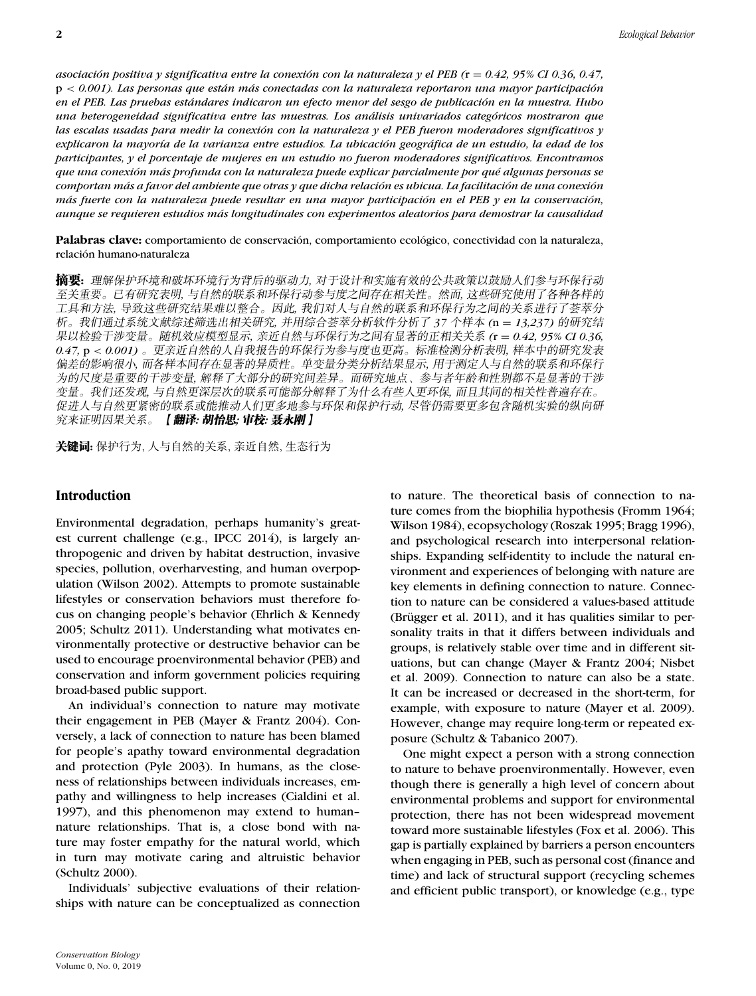*asociacion positiva y significativa entre la conexi ´ on con la naturaleza y el PEB ( ´* r = *0.42, 95% CI 0.36, 0.47,* p < 0.001). Las personas que están más conectadas con la naturaleza reportaron una mayor participación *en el PEB. Las pruebas estandares indicaron un efecto menor del sesgo de publicaci ´ on en la muestra. Hubo ´ una heterogeneidad significativa entre las muestras. Los analisis univariados categ ´ oricos mostraron que ´ las escalas usadas para medir la conexion con la naturaleza y el PEB fueron moderadores significativos y ´ explicaron la mayor´ıa de la varianza entre estudios. La ubicacion geogr ´ afica de un estudio, la edad de los ´ participantes, y el porcentaje de mujeres en un estudio no fueron moderadores significativos. Encontramos que una conexion m ´ as profunda con la naturaleza puede explicar parcialmente por qu ´ ´e algunas personas se comportan mas a favor del ambiente que otras y que dicha relaci ´ on es ubicua. La facilitaci ´ on de una conexi ´ on´ más fuerte con la naturaleza puede resultar en una mayor participación en el PEB y en la conservación, aunque se requieren estudios mas longitudinales con experimentos aleatorios para demostrar la causalidad ´*

Palabras clave: comportamiento de conservación, comportamiento ecológico, conectividad con la naturaleza, relacion humano-naturaleza ´

**摘要:** 理解保护环境和破坏环境行为背后的驱动力, 对于设计和实施有效的公共政策以鼓励人们参与环保行动 至关重要。已有研究表明, 与自然的联系和环保行动参与度之间存在相关性。然而, 这些研究使用了各种各样的 工具和方法,导致这些研究结果难以整合。因此,我们对人与自然的联系和环保行为之间的关系进行了荟萃分 析。我们通过系统文献综述筛选出相关研究,并用综合荟萃分析软件分析了 37 个样本 (n = 13,237) 的研究结<br>History Tip Started March 2017 (19) The Contract of Contract of Contract of Contract of Contract of Contract o ---*,* --------- *(*r = *0.42, 95% CI 0.36, 0.*47, p < 0.001) 。更亲近自然的人自我报告的环保行为参与度也更高。标准检测分析表明, 样本中的研究发表 偏差的影响很小, 而各样本间存在显著的异质性。单变量分类分析结果显示, 用于测定人与自然的联系和环保行 为的尺度是重要的干涉变量,解释了大部分的研究间差异。而研究地点、参与者年龄和性别都不是显著的干涉 变量。我们还发现, 与自然更深层次的联系可能部分解释了为什么有些人更环保, 而且其间的相关性普遍存在。 促进人与自然更紧密的联系或能推动人们更多地参与环保和保护行动, 尽管仍需要更多包含随机实验的纵向研 究来证明因果关系。 【**翻译: 胡怡思; 审校: 聂永刚** 】

关键词: 保护行为, 人与自然的关系, 亲近自然, 生态行为

## **Introduction**

Environmental degradation, perhaps humanity's greatest current challenge (e.g., IPCC 2014), is largely anthropogenic and driven by habitat destruction, invasive species, pollution, overharvesting, and human overpopulation (Wilson 2002). Attempts to promote sustainable lifestyles or conservation behaviors must therefore focus on changing people's behavior (Ehrlich & Kennedy 2005; Schultz 2011). Understanding what motivates environmentally protective or destructive behavior can be used to encourage proenvironmental behavior (PEB) and conservation and inform government policies requiring broad-based public support.

An individual's connection to nature may motivate their engagement in PEB (Mayer & Frantz 2004). Conversely, a lack of connection to nature has been blamed for people's apathy toward environmental degradation and protection (Pyle 2003). In humans, as the closeness of relationships between individuals increases, empathy and willingness to help increases (Cialdini et al. 1997), and this phenomenon may extend to human– nature relationships. That is, a close bond with nature may foster empathy for the natural world, which in turn may motivate caring and altruistic behavior (Schultz 2000).

Individuals' subjective evaluations of their relationships with nature can be conceptualized as connection to nature. The theoretical basis of connection to nature comes from the biophilia hypothesis (Fromm 1964; Wilson 1984), ecopsychology (Roszak 1995; Bragg 1996), and psychological research into interpersonal relationships. Expanding self-identity to include the natural environment and experiences of belonging with nature are key elements in defining connection to nature. Connection to nature can be considered a values-based attitude (Brügger et al.  $2011$ ), and it has qualities similar to personality traits in that it differs between individuals and groups, is relatively stable over time and in different situations, but can change (Mayer & Frantz 2004; Nisbet et al. 2009). Connection to nature can also be a state. It can be increased or decreased in the short-term, for example, with exposure to nature (Mayer et al. 2009). However, change may require long-term or repeated exposure (Schultz & Tabanico 2007).

One might expect a person with a strong connection to nature to behave proenvironmentally. However, even though there is generally a high level of concern about environmental problems and support for environmental protection, there has not been widespread movement toward more sustainable lifestyles (Fox et al. 2006). This gap is partially explained by barriers a person encounters when engaging in PEB, such as personal cost (finance and time) and lack of structural support (recycling schemes and efficient public transport), or knowledge (e.g., type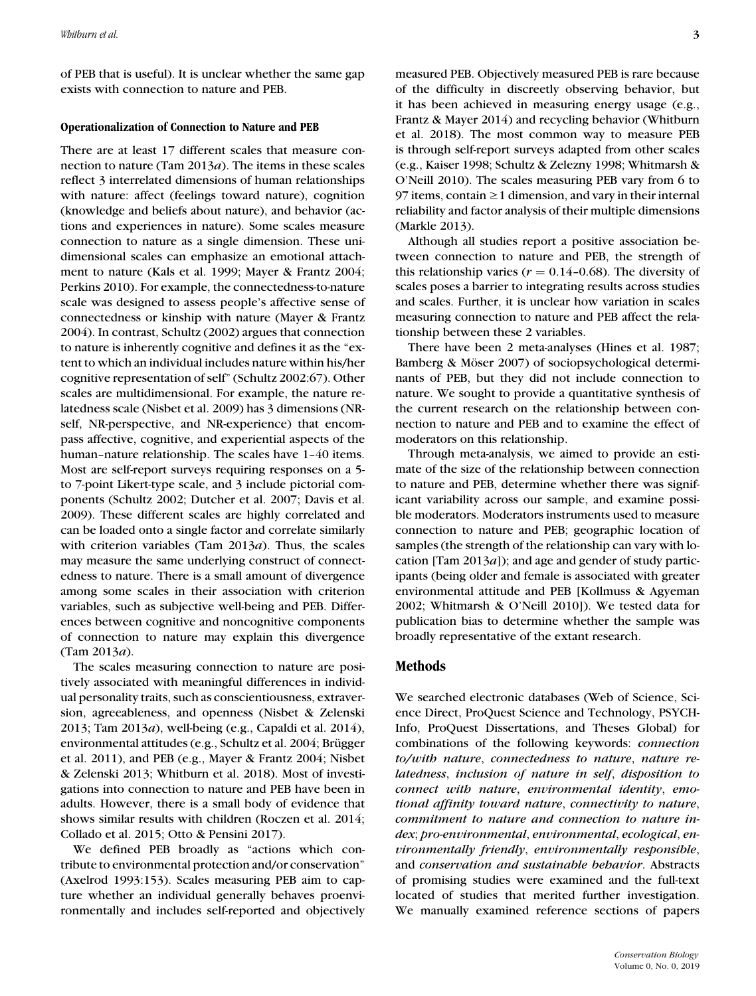of PEB that is useful). It is unclear whether the same gap exists with connection to nature and PEB.

### **Operationalization of Connection to Nature and PEB**

There are at least 17 different scales that measure connection to nature (Tam 2013*a*). The items in these scales reflect 3 interrelated dimensions of human relationships with nature: affect (feelings toward nature), cognition (knowledge and beliefs about nature), and behavior (actions and experiences in nature). Some scales measure connection to nature as a single dimension. These unidimensional scales can emphasize an emotional attachment to nature (Kals et al. 1999; Mayer & Frantz 2004; Perkins 2010). For example, the connectedness-to-nature scale was designed to assess people's affective sense of connectedness or kinship with nature (Mayer & Frantz 2004). In contrast, Schultz (2002) argues that connection to nature is inherently cognitive and defines it as the "extent to which an individual includes nature within his/her cognitive representation of self" (Schultz 2002:67). Other scales are multidimensional. For example, the nature relatedness scale (Nisbet et al. 2009) has 3 dimensions (NRself, NR-perspective, and NR-experience) that encompass affective, cognitive, and experiential aspects of the human–nature relationship. The scales have 1–40 items. Most are self-report surveys requiring responses on a 5 to 7-point Likert-type scale, and 3 include pictorial components (Schultz 2002; Dutcher et al. 2007; Davis et al. 2009). These different scales are highly correlated and can be loaded onto a single factor and correlate similarly with criterion variables (Tam 2013*a*). Thus, the scales may measure the same underlying construct of connectedness to nature. There is a small amount of divergence among some scales in their association with criterion variables, such as subjective well-being and PEB. Differences between cognitive and noncognitive components of connection to nature may explain this divergence (Tam 2013*a*).

The scales measuring connection to nature are positively associated with meaningful differences in individual personality traits, such as conscientiousness, extraversion, agreeableness, and openness (Nisbet & Zelenski 2013; Tam 2013*a*), well-being (e.g., Capaldi et al. 2014), environmental attitudes (e.g., Schultz et al. 2004; Brügger et al. 2011), and PEB (e.g., Mayer & Frantz 2004; Nisbet & Zelenski 2013; Whitburn et al. 2018). Most of investigations into connection to nature and PEB have been in adults. However, there is a small body of evidence that shows similar results with children (Roczen et al. 2014; Collado et al. 2015; Otto & Pensini 2017).

We defined PEB broadly as "actions which contribute to environmental protection and/or conservation" (Axelrod 1993:153). Scales measuring PEB aim to capture whether an individual generally behaves proenvironmentally and includes self-reported and objectively measured PEB. Objectively measured PEB is rare because of the difficulty in discreetly observing behavior, but it has been achieved in measuring energy usage (e.g., Frantz & Mayer 2014) and recycling behavior (Whitburn et al. 2018). The most common way to measure PEB is through self-report surveys adapted from other scales (e.g., Kaiser 1998; Schultz & Zelezny 1998; Whitmarsh & O'Neill 2010). The scales measuring PEB vary from 6 to 97 items, contain  $\geq 1$  dimension, and vary in their internal reliability and factor analysis of their multiple dimensions (Markle 2013).

Although all studies report a positive association between connection to nature and PEB, the strength of this relationship varies ( $r = 0.14$ –0.68). The diversity of scales poses a barrier to integrating results across studies and scales. Further, it is unclear how variation in scales measuring connection to nature and PEB affect the relationship between these 2 variables.

There have been 2 meta-analyses (Hines et al. 1987; Bamberg & Möser 2007) of sociopsychological determinants of PEB, but they did not include connection to nature. We sought to provide a quantitative synthesis of the current research on the relationship between connection to nature and PEB and to examine the effect of moderators on this relationship.

Through meta-analysis, we aimed to provide an estimate of the size of the relationship between connection to nature and PEB, determine whether there was significant variability across our sample, and examine possible moderators. Moderators instruments used to measure connection to nature and PEB; geographic location of samples (the strength of the relationship can vary with location [Tam 2013*a*]); and age and gender of study participants (being older and female is associated with greater environmental attitude and PEB [Kollmuss & Agyeman 2002; Whitmarsh & O'Neill 2010]). We tested data for publication bias to determine whether the sample was broadly representative of the extant research.

## **Methods**

We searched electronic databases (Web of Science, Science Direct, ProQuest Science and Technology, PSYCH-Info, ProQuest Dissertations, and Theses Global) for combinations of the following keywords: *connection to/with nature*, *connectedness to nature*, *nature relatedness*, *inclusion of nature in self*, *disposition to connect with nature*, *environmental identity*, *emotional affinity toward nature*, *connectivity to nature*, *commitment to nature and connection to nature index*; *pro-environmental*, *environmental*, *ecological*, *environmentally friendly*, *environmentally responsible*, and *conservation and sustainable behavior*. Abstracts of promising studies were examined and the full-text located of studies that merited further investigation. We manually examined reference sections of papers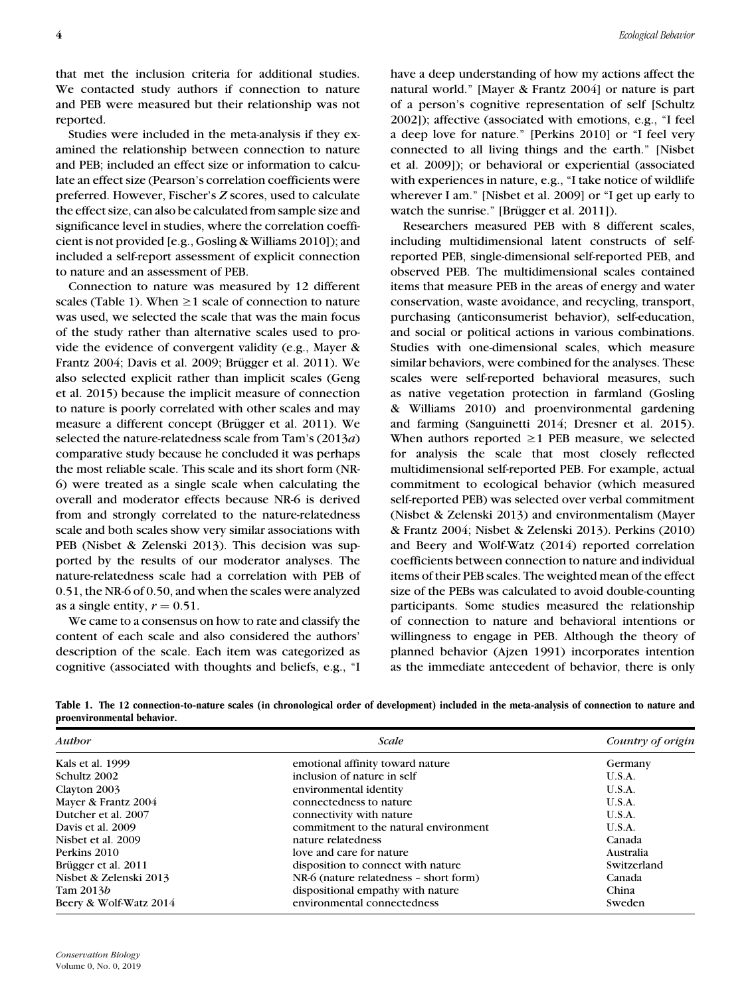that met the inclusion criteria for additional studies. We contacted study authors if connection to nature and PEB were measured but their relationship was not reported.

Studies were included in the meta-analysis if they examined the relationship between connection to nature and PEB; included an effect size or information to calculate an effect size (Pearson's correlation coefficients were preferred. However, Fischer's *Z* scores, used to calculate the effect size, can also be calculated from sample size and significance level in studies, where the correlation coefficient is not provided [e.g., Gosling & Williams 2010]); and included a self-report assessment of explicit connection to nature and an assessment of PEB.

Connection to nature was measured by 12 different scales (Table 1). When  $\geq 1$  scale of connection to nature was used, we selected the scale that was the main focus of the study rather than alternative scales used to provide the evidence of convergent validity (e.g., Mayer & Frantz 2004; Davis et al. 2009; Brügger et al. 2011). We also selected explicit rather than implicit scales (Geng et al. 2015) because the implicit measure of connection to nature is poorly correlated with other scales and may measure a different concept (Brügger et al. 2011). We selected the nature-relatedness scale from Tam's (2013*a*) comparative study because he concluded it was perhaps the most reliable scale. This scale and its short form (NR-6) were treated as a single scale when calculating the overall and moderator effects because NR-6 is derived from and strongly correlated to the nature-relatedness scale and both scales show very similar associations with PEB (Nisbet & Zelenski 2013). This decision was supported by the results of our moderator analyses. The nature-relatedness scale had a correlation with PEB of 0.51, the NR-6 of 0.50, and when the scales were analyzed as a single entity,  $r = 0.51$ .

We came to a consensus on how to rate and classify the content of each scale and also considered the authors' description of the scale. Each item was categorized as cognitive (associated with thoughts and beliefs, e.g., "I have a deep understanding of how my actions affect the natural world." [Mayer & Frantz 2004] or nature is part of a person's cognitive representation of self [Schultz 2002]); affective (associated with emotions, e.g., "I feel a deep love for nature." [Perkins 2010] or "I feel very connected to all living things and the earth." [Nisbet et al. 2009]); or behavioral or experiential (associated with experiences in nature, e.g., "I take notice of wildlife wherever I am." [Nisbet et al. 2009] or "I get up early to watch the sunrise." [Brügger et al. 2011]).

Researchers measured PEB with 8 different scales, including multidimensional latent constructs of selfreported PEB, single-dimensional self-reported PEB, and observed PEB. The multidimensional scales contained items that measure PEB in the areas of energy and water conservation, waste avoidance, and recycling, transport, purchasing (anticonsumerist behavior), self-education, and social or political actions in various combinations. Studies with one-dimensional scales, which measure similar behaviors, were combined for the analyses. These scales were self-reported behavioral measures, such as native vegetation protection in farmland (Gosling & Williams 2010) and proenvironmental gardening and farming (Sanguinetti 2014; Dresner et al. 2015). When authors reported  $\geq 1$  PEB measure, we selected for analysis the scale that most closely reflected multidimensional self-reported PEB. For example, actual commitment to ecological behavior (which measured self-reported PEB) was selected over verbal commitment (Nisbet & Zelenski 2013) and environmentalism (Mayer & Frantz 2004; Nisbet & Zelenski 2013). Perkins (2010) and Beery and Wolf-Watz (2014) reported correlation coefficients between connection to nature and individual items of their PEB scales. The weighted mean of the effect size of the PEBs was calculated to avoid double-counting participants. Some studies measured the relationship of connection to nature and behavioral intentions or willingness to engage in PEB. Although the theory of planned behavior (Ajzen 1991) incorporates intention as the immediate antecedent of behavior, there is only

| Author                 | Scale                                  | Country of origin |
|------------------------|----------------------------------------|-------------------|
| Kals et al. 1999       | emotional affinity toward nature       | Germany           |
| Schultz 2002           | inclusion of nature in self            | U.S.A.            |
| Clayton 2003           | environmental identity                 | U.S.A.            |
| Mayer & Frantz 2004    | connectedness to nature                | U.S.A.            |
| Dutcher et al. 2007    | connectivity with nature               | U.S.A.            |
| Davis et al. 2009      | commitment to the natural environment  | U.S.A.            |
| Nisbet et al. 2009     | nature relatedness                     | Canada            |
| Perkins 2010           | love and care for nature               | Australia         |
| Brügger et al. 2011    | disposition to connect with nature     | Switzerland       |
| Nisbet & Zelenski 2013 | NR-6 (nature relatedness - short form) | Canada            |
| Tam $2013b$            | dispositional empathy with nature      | China             |
| Beery & Wolf-Watz 2014 | environmental connectedness            | Sweden            |

**Table 1. The 12 connection-to-nature scales (in chronological order of development) included in the meta-analysis of connection to nature and proenvironmental behavior.**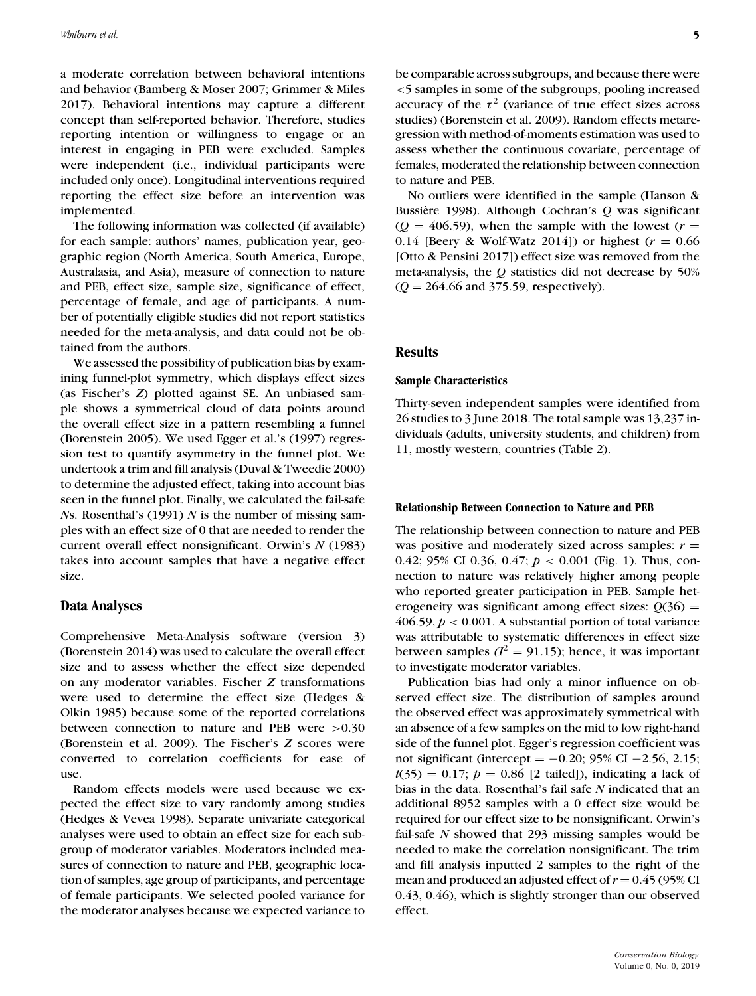a moderate correlation between behavioral intentions and behavior (Bamberg & Moser 2007; Grimmer & Miles 2017). Behavioral intentions may capture a different concept than self-reported behavior. Therefore, studies reporting intention or willingness to engage or an interest in engaging in PEB were excluded. Samples were independent (i.e., individual participants were included only once). Longitudinal interventions required reporting the effect size before an intervention was implemented.

The following information was collected (if available) for each sample: authors' names, publication year, geographic region (North America, South America, Europe, Australasia, and Asia), measure of connection to nature and PEB, effect size, sample size, significance of effect, percentage of female, and age of participants. A number of potentially eligible studies did not report statistics needed for the meta-analysis, and data could not be obtained from the authors.

We assessed the possibility of publication bias by examining funnel-plot symmetry, which displays effect sizes (as Fischer's *Z*) plotted against SE. An unbiased sample shows a symmetrical cloud of data points around the overall effect size in a pattern resembling a funnel (Borenstein 2005). We used Egger et al.'s (1997) regression test to quantify asymmetry in the funnel plot. We undertook a trim and fill analysis (Duval & Tweedie 2000) to determine the adjusted effect, taking into account bias seen in the funnel plot. Finally, we calculated the fail-safe *N*s. Rosenthal's (1991) *N* is the number of missing samples with an effect size of 0 that are needed to render the current overall effect nonsignificant. Orwin's *N* (1983) takes into account samples that have a negative effect size.

## **Data Analyses**

Comprehensive Meta-Analysis software (version 3) (Borenstein 2014) was used to calculate the overall effect size and to assess whether the effect size depended on any moderator variables. Fischer *Z* transformations were used to determine the effect size (Hedges & Olkin 1985) because some of the reported correlations between connection to nature and PEB were >0.30 (Borenstein et al. 2009). The Fischer's *Z* scores were converted to correlation coefficients for ease of use.

Random effects models were used because we expected the effect size to vary randomly among studies (Hedges & Vevea 1998). Separate univariate categorical analyses were used to obtain an effect size for each subgroup of moderator variables. Moderators included measures of connection to nature and PEB, geographic location of samples, age group of participants, and percentage of female participants. We selected pooled variance for the moderator analyses because we expected variance to be comparable across subgroups, and because there were <5 samples in some of the subgroups, pooling increased accuracy of the  $\tau^2$  (variance of true effect sizes across studies) (Borenstein et al. 2009). Random effects metaregression with method-of-moments estimation was used to assess whether the continuous covariate, percentage of females, moderated the relationship between connection to nature and PEB.

No outliers were identified in the sample (Hanson & Bussiѐre 1998). Although Cochran's *Q* was significant  $(Q = 406.59)$ , when the sample with the lowest  $(r =$ 0.14 [Beery & Wolf-Watz 2014]) or highest  $(r = 0.66$ [Otto & Pensini 2017]) effect size was removed from the meta-analysis, the *Q* statistics did not decrease by 50% (*Q* = 264.66 and 375.59, respectively).

## **Results**

#### **Sample Characteristics**

Thirty-seven independent samples were identified from 26 studies to 3 June 2018. The total sample was 13,237 individuals (adults, university students, and children) from 11, mostly western, countries (Table 2).

#### **Relationship Between Connection to Nature and PEB**

The relationship between connection to nature and PEB was positive and moderately sized across samples:  $r =$ 0.42; 95% CI 0.36, 0.47; *p* < 0.001 (Fig. 1). Thus, connection to nature was relatively higher among people who reported greater participation in PEB. Sample heterogeneity was significant among effect sizes:  $Q(36)$  = 406.59,  $p < 0.001$ . A substantial portion of total variance was attributable to systematic differences in effect size between samples  $(l^2 = 91.15)$ ; hence, it was important to investigate moderator variables.

Publication bias had only a minor influence on observed effect size. The distribution of samples around the observed effect was approximately symmetrical with an absence of a few samples on the mid to low right-hand side of the funnel plot. Egger's regression coefficient was not significant (intercept = −0.20; 95% CI −2.56, 2.15;  $t(35) = 0.17$ ;  $p = 0.86$  [2 tailed]), indicating a lack of bias in the data. Rosenthal's fail safe *N* indicated that an additional 8952 samples with a 0 effect size would be required for our effect size to be nonsignificant. Orwin's fail-safe *N* showed that 293 missing samples would be needed to make the correlation nonsignificant. The trim and fill analysis inputted 2 samples to the right of the mean and produced an adjusted effect of  $r = 0.45$  (95% CI 0.43, 0.46), which is slightly stronger than our observed effect.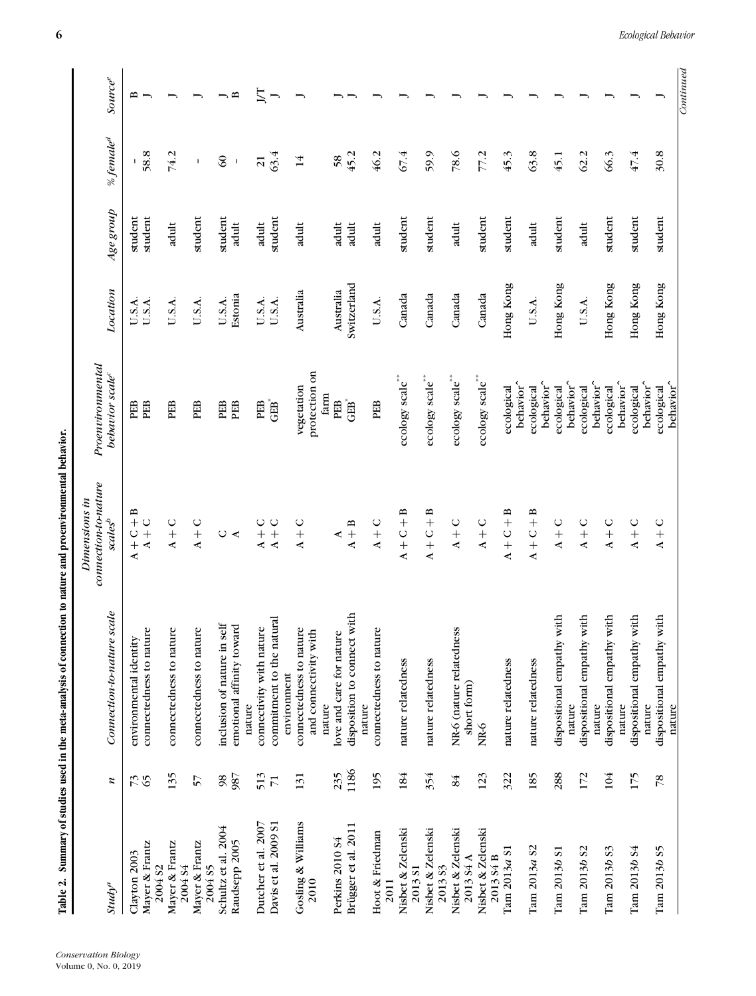| l                                                                                                                                                                                                                                                     |  |
|-------------------------------------------------------------------------------------------------------------------------------------------------------------------------------------------------------------------------------------------------------|--|
|                                                                                                                                                                                                                                                       |  |
| :<br>֠                                                                                                                                                                                                                                                |  |
| į                                                                                                                                                                                                                                                     |  |
|                                                                                                                                                                                                                                                       |  |
|                                                                                                                                                                                                                                                       |  |
| is and stated in the contract of the contract of the contract of the contract of the contract of the contract of the contract of the contract of the contract of the contract of the contract of the contract of the contract<br><b>THE CHAPT CAR</b> |  |
|                                                                                                                                                                                                                                                       |  |
|                                                                                                                                                                                                                                                       |  |
|                                                                                                                                                                                                                                                       |  |
|                                                                                                                                                                                                                                                       |  |
| in an                                                                                                                                                                                                                                                 |  |

| Table 2.                             |                 | Summary of studies used in the meta-analysis of connection to nature and proenvironmental behavior. |                                       |                                     |             |           |                       |                            |
|--------------------------------------|-----------------|-----------------------------------------------------------------------------------------------------|---------------------------------------|-------------------------------------|-------------|-----------|-----------------------|----------------------------|
|                                      |                 |                                                                                                     | connection-to-nature<br>Dimensions in | Proenvironmental                    |             |           |                       |                            |
| $\mathit{Study}^a$                   | z               | Connection-to-nature scale                                                                          | scale <sub>s</sub>                    | behavior scale <sup>c</sup>         | Location    | Age group | % female <sup>d</sup> | <b>Source</b> <sup>e</sup> |
| Clayton 2003                         | 73              | environmental identity                                                                              | $A + C + B$                           | PEB                                 | U.S.A.      | student   |                       | ≏                          |
| Mayer & Frantz<br>2004 <sub>S2</sub> |                 | connectedness to nature                                                                             | $A + C$                               | PEB                                 | U.S.A.      | student   | 58.8                  |                            |
| Mayer & Frantz<br>2004 S4            | 135             | connectedness to nature                                                                             | $A + C$                               | PEB                                 | U.S.A.      | adult     | 74.2                  | ∽                          |
| Mayer & Frantz<br>2004 <sub>S5</sub> | 57              | connectedness to nature                                                                             | $A + C$                               | PEB                                 | U.S.A.      | student   | $\mathsf I$           |                            |
| Schultz et al. 2004                  | $\overline{98}$ | inclusion of nature in self                                                                         | $\bigcirc$                            | PEB                                 | U.S.A.      | student   | $\infty$              |                            |
| Raudsepp 2005                        | 987             | emotional affinity toward<br>nature                                                                 | $\prec$                               | PEB                                 | Estonia     | adult     | $\mathsf I$           | $\mathbf{r}$               |
| Dutcher et al. 2007                  | 513             | connectivity with nature                                                                            | $A + C$                               | PEB                                 | U.S.A.      | adult     | $\overline{21}$       | JT                         |
| Davis et al. 2009 S1                 | $\overline{7}$  | commitment to the natural<br>environment                                                            | $A + C$                               | <b>GEB</b>                          | U.S.A.      | student   | 63.4                  | $\overline{\phantom{a}}$   |
| Gosling & Williams                   | 131             |                                                                                                     | $A + C$                               | vegetation                          | Australia   | adult     | 14                    | $\overline{\phantom{0}}$   |
| 2010                                 |                 | connectedness to nature<br>and connectivity with                                                    |                                       | protection on                       |             |           |                       |                            |
| Perkins 2010 S4                      | 235             | love and care for nature<br>nature                                                                  |                                       | farm<br>PEB                         | Australia   | adult     | 58                    |                            |
|                                      | 1186            |                                                                                                     | $\blacktriangle$                      | $\mathbf{G}\mathbf{B}^*$            |             |           | 45.2                  |                            |
| Brügger et al. 2011                  |                 | disposition to connect with<br>nature                                                               | $A + B$                               |                                     | Switzerland | adult     |                       |                            |
| Hoot & Friedman<br>2011              | 195             | connectedness to nature                                                                             | $A + C$                               | PEB                                 | U.S.A.      | adult     | 46.2                  |                            |
| Nisbet & Zelenski<br>2013 S1         | 184             | nature relatedness                                                                                  | $A + C + B$                           | ecology scale**                     | Canada      | student   | 67.4                  |                            |
| Nisbet & Zelenski<br>2013 S3         | 354             | nature relatedness                                                                                  | $A + C + B$                           | ecology scale**                     | Canada      | student   | 59.9                  |                            |
| Nisbet & Zelenski<br>201354A         | 84              | NR-6 (nature relatedness<br>short form)                                                             | $A + C$                               | ecology scale**                     | Canada      | adult     | 78.6                  |                            |
| Nisbet & Zelenski                    | 123             | NR-6                                                                                                | $A + C$                               | ecology scale**                     | Canada      | student   | 77.2                  |                            |
| 2013 S4 B                            |                 |                                                                                                     |                                       |                                     |             |           |                       |                            |
| Tam $2013a$ S1                       | 322             | nature relatedness                                                                                  | $A + C + B$                           | behavior <sup>^</sup><br>ecological | Hong Kong   | student   | 45.3                  |                            |
| Tam 2013a S2                         | 185             | nature relatedness                                                                                  | $A + C + B$                           | behavior <sup>^</sup><br>ecological | U.S.A.      | adult     | 63.8                  |                            |
| Tam 2013b S1                         | 288             | dispositional empathy with<br>nature                                                                | $A + C$                               | behavior <sup>^</sup><br>ecological | Hong Kong   | student   | 45.1                  |                            |
| Tam 2013b S2                         | 172             | dispositional empathy with                                                                          | $A + C$                               | ecological                          | U.S.A.      | adult     | 62.2                  |                            |
|                                      |                 | nature                                                                                              |                                       | behavior <sup>^</sup>               |             |           |                       |                            |
| Tam 2013b S3                         | 104             | dispositional empathy with<br>nature                                                                | $A + C$                               | behavior <sup>^</sup><br>ecological | Hong Kong   | student   | 66.3                  |                            |
| Tam 2013b S4                         | 175             | dispositional empathy with                                                                          | $A + C$                               | ecological                          | Hong Kong   | student   | 47.4                  |                            |
|                                      |                 | nature                                                                                              |                                       | behavior <sup>^</sup>               |             |           |                       |                            |
| Tam 2013b S5                         | $\overline{78}$ | dispositional empathy with<br>nature                                                                | $A + C$                               | behavior <sup>^</sup><br>ecological | Hong Kong   | student   | 30.8                  |                            |
|                                      |                 |                                                                                                     |                                       |                                     |             |           |                       | Continued                  |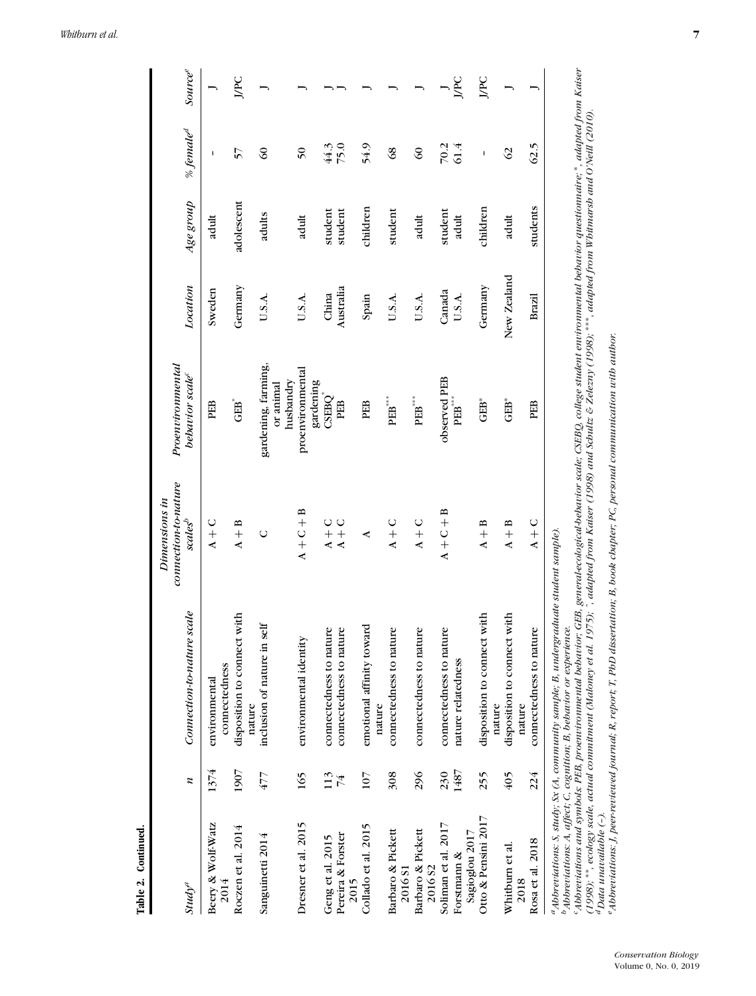|                                                      |             |                                                                                                  | Dimensions in                               |                                                        |                    |                    |                       |                            |
|------------------------------------------------------|-------------|--------------------------------------------------------------------------------------------------|---------------------------------------------|--------------------------------------------------------|--------------------|--------------------|-----------------------|----------------------------|
| $\mathcal{S}tud\gamma^a$                             | z           | Connection-to-nature scale                                                                       | connection-to-nature<br>scales <sup>b</sup> | Proenvironmental<br>behavior scale <sup>c</sup>        | Location           | Age group          | % female <sup>d</sup> | <b>Source</b> <sup>e</sup> |
| Beery & Wolf-Watz<br>2014                            | 1374        | connectedness<br>environmental                                                                   | $A + C$                                     | PEB                                                    | Sweden             | adult              | ı                     |                            |
| Roczen et al. 2014                                   | 1907        | disposition to connect with<br>nature                                                            | $A + B$                                     | $GEB$ <sup>*</sup>                                     | Germany            | adolescent         | 57                    | JPC                        |
| Sanguinetti 2014                                     | 477         | inclusion of nature in self                                                                      | $\circ$                                     | gardening, farming,<br>husbandry<br>or animal          | U.S.A.             | adults             | $\Im$                 |                            |
| Dresner et al. 2015                                  | 165         | environmental identity                                                                           | $A + C + B$                                 | proenvironmental<br>gardening                          | U.S.A.             | adult              | 50                    |                            |
| Pereira & Forster<br>Geng et al. 2015<br>2015        | 113<br>74   | connectedness to nature<br>connectedness to nature                                               | $A + C$<br>$A + C$                          | CSEBQ <sup>®</sup><br>PEB                              | Australia<br>China | student<br>student | 75.0<br>44.3          |                            |
| Collado et al. 2015                                  | 107         | emotional affinity toward<br>nature                                                              | ⋖                                           | PEB                                                    | Spain              | children           | 54.9                  |                            |
| Barbaro & Pickett<br>2016 <sub>S1</sub>              | 308         | connectedness to nature                                                                          | $A + C$                                     | $\mathbf{P}\mathbf{E}\mathbf{B}^{***}$                 | U.S.A.             | student            | $\frac{8}{3}$         |                            |
| Barbaro & Pickett<br>2016 82                         | 296         | connectedness to nature                                                                          | $A + C$                                     | $\mathbf{P}\mathbf{E}\mathbf{B}^{***}$                 | U.S.A.             | adult              | $\Im$                 |                            |
| Soliman et al. 2017<br>Sagioglou 2017<br>Forstmann & | 1487<br>230 | connectedness to nature<br>nature relatedness                                                    | $A + C + B$                                 | observed PEB<br>$\mathbf{P}\mathbf{E}\mathbf{B}^{***}$ | Canada<br>U.S.A.   | student<br>adult   | 70.2<br>61.4          | JPC                        |
| Otto & Pensini 2017                                  | 255         | with<br>disposition to connect<br>nature                                                         | $A + B$                                     | GEB*                                                   | Germany            | children           | I                     | JPC                        |
| Whitburn et al.<br>2018                              | 405         | disposition to connect with<br>nature                                                            | $A + B$                                     | $GEB*$                                                 | New Zealand        | adult              | 62                    |                            |
| Rosa et al. 2018                                     | 224         | connectedness to nature                                                                          | $A + C$                                     | PEB                                                    | Brazil             | students           | 62.5                  |                            |
| $h \rightarrow r$                                    |             | $\frac{a}{4}$ Abbreviations: S, study; Sx (A, community sample; B, undergraduate student sample) |                                             |                                                        |                    |                    |                       |                            |

*bAbbreviations: A, affect; C, cognition; B, behavior or experience.*

" Abbreviations: A, affect; C, cognition; B, behavior or experience.<br>"Abbreviations: A, affect; C, cognition; B, behavior or experience.<br>"Abbreviations and symbols: PEB, proenvironmental behavior; GEB, general-ecological-b Abbreviations and symbols: PEB, proenvironmental bebavior; GEB, general-ecological-bebavior scale; CSEBQ, college student environmental behavior questionnaire; \*, adapted from Kaiser (1998); \*\*, ecology scale, actual commitment (Maloney et al. 1975); ^, adapted from Kaiser (1998) and Schultz & Zelezny (1998); \*\*\*, adapted from Whitmarsh and O'Neill (2010). *dData unavailable (–).*

"Abbreviations: J, peer-reviewed journal; R, report; T, PbD dissertation; B, book cbapter; PC, personal communication with author. "Abbreviations: J, peer-reviewed journal; R, report; T, PbD dissertation; B, book chapter; PC, personal communication with author.

**Table 2. Continued.**

Table 2. Continued.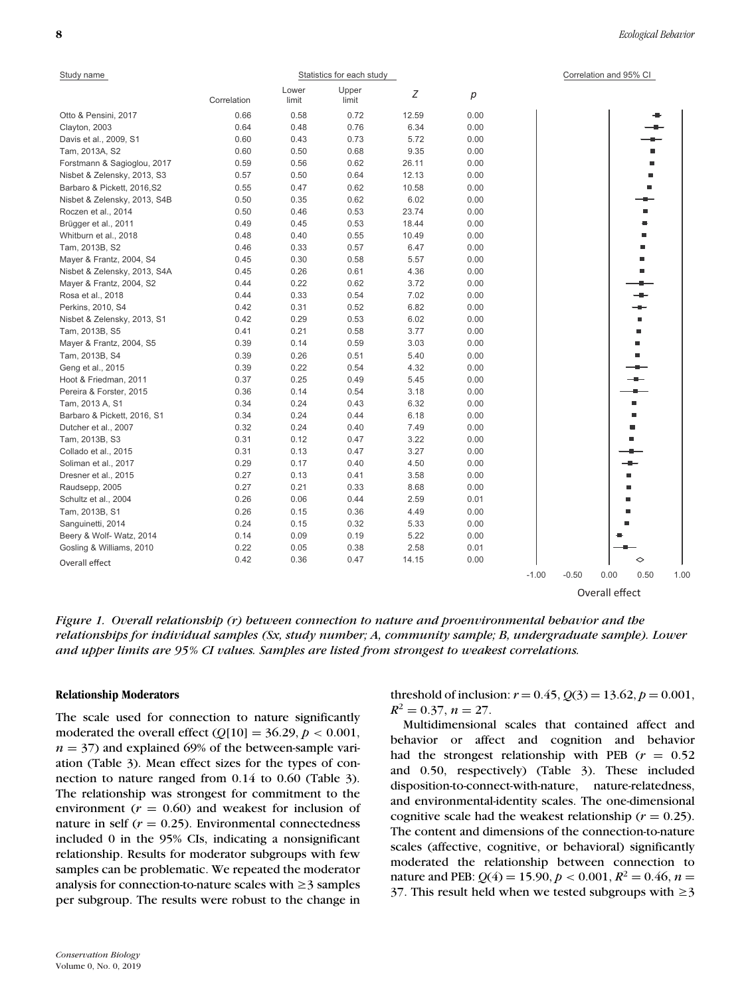| Study name                   |             |                | Statistics for each study |       |      | Correlation and 95% CI                     |
|------------------------------|-------------|----------------|---------------------------|-------|------|--------------------------------------------|
|                              | Correlation | Lower<br>limit | Upper<br>limit            | Ζ     | р    |                                            |
| Otto & Pensini, 2017         | 0.66        | 0.58           | 0.72                      | 12.59 | 0.00 |                                            |
| Clayton, 2003                | 0.64        | 0.48           | 0.76                      | 6.34  | 0.00 |                                            |
| Davis et al., 2009, S1       | 0.60        | 0.43           | 0.73                      | 5.72  | 0.00 |                                            |
| Tam, 2013A, S2               | 0.60        | 0.50           | 0.68                      | 9.35  | 0.00 |                                            |
| Forstmann & Sagioglou, 2017  | 0.59        | 0.56           | 0.62                      | 26.11 | 0.00 |                                            |
| Nisbet & Zelensky, 2013, S3  | 0.57        | 0.50           | 0.64                      | 12.13 | 0.00 |                                            |
| Barbaro & Pickett, 2016, S2  | 0.55        | 0.47           | 0.62                      | 10.58 | 0.00 |                                            |
| Nisbet & Zelensky, 2013, S4B | 0.50        | 0.35           | 0.62                      | 6.02  | 0.00 |                                            |
| Roczen et al., 2014          | 0.50        | 0.46           | 0.53                      | 23.74 | 0.00 |                                            |
| Brügger et al., 2011         | 0.49        | 0.45           | 0.53                      | 18.44 | 0.00 |                                            |
| Whitburn et al., 2018        | 0.48        | 0.40           | 0.55                      | 10.49 | 0.00 |                                            |
| Tam, 2013B, S2               | 0.46        | 0.33           | 0.57                      | 6.47  | 0.00 |                                            |
| Mayer & Frantz, 2004, S4     | 0.45        | 0.30           | 0.58                      | 5.57  | 0.00 |                                            |
| Nisbet & Zelensky, 2013, S4A | 0.45        | 0.26           | 0.61                      | 4.36  | 0.00 |                                            |
| Mayer & Frantz, 2004, S2     | 0.44        | 0.22           | 0.62                      | 3.72  | 0.00 |                                            |
| Rosa et al., 2018            | 0.44        | 0.33           | 0.54                      | 7.02  | 0.00 |                                            |
| Perkins, 2010, S4            | 0.42        | 0.31           | 0.52                      | 6.82  | 0.00 |                                            |
| Nisbet & Zelensky, 2013, S1  | 0.42        | 0.29           | 0.53                      | 6.02  | 0.00 |                                            |
| Tam, 2013B, S5               | 0.41        | 0.21           | 0.58                      | 3.77  | 0.00 |                                            |
| Mayer & Frantz, 2004, S5     | 0.39        | 0.14           | 0.59                      | 3.03  | 0.00 |                                            |
| Tam, 2013B, S4               | 0.39        | 0.26           | 0.51                      | 5.40  | 0.00 |                                            |
| Geng et al., 2015            | 0.39        | 0.22           | 0.54                      | 4.32  | 0.00 |                                            |
| Hoot & Friedman, 2011        | 0.37        | 0.25           | 0.49                      | 5.45  | 0.00 |                                            |
| Pereira & Forster, 2015      | 0.36        | 0.14           | 0.54                      | 3.18  | 0.00 |                                            |
| Tam, 2013 A, S1              | 0.34        | 0.24           | 0.43                      | 6.32  | 0.00 |                                            |
| Barbaro & Pickett, 2016, S1  | 0.34        | 0.24           | 0.44                      | 6.18  | 0.00 |                                            |
| Dutcher et al., 2007         | 0.32        | 0.24           | 0.40                      | 7.49  | 0.00 |                                            |
| Tam, 2013B, S3               | 0.31        | 0.12           | 0.47                      | 3.22  | 0.00 |                                            |
| Collado et al., 2015         | 0.31        | 0.13           | 0.47                      | 3.27  | 0.00 |                                            |
| Soliman et al., 2017         | 0.29        | 0.17           | 0.40                      | 4.50  | 0.00 |                                            |
| Dresner et al., 2015         | 0.27        | 0.13           | 0.41                      | 3.58  | 0.00 |                                            |
| Raudsepp, 2005               | 0.27        | 0.21           | 0.33                      | 8.68  | 0.00 |                                            |
| Schultz et al., 2004         | 0.26        | 0.06           | 0.44                      | 2.59  | 0.01 |                                            |
| Tam, 2013B, S1               | 0.26        | 0.15           | 0.36                      | 4.49  | 0.00 |                                            |
| Sanguinetti, 2014            | 0.24        | 0.15           | 0.32                      | 5.33  | 0.00 |                                            |
| Beery & Wolf- Watz, 2014     | 0.14        | 0.09           | 0.19                      | 5.22  | 0.00 |                                            |
| Gosling & Williams, 2010     | 0.22        | 0.05           | 0.38                      | 2.58  | 0.01 |                                            |
| Overall effect               | 0.42        | 0.36           | 0.47                      | 14.15 | 0.00 | ◇                                          |
|                              |             |                |                           |       |      | $-1.00$<br>$-0.50$<br>0.00<br>0.50<br>1.00 |

Overall effect

*Figure 1. Overall relationship (r) between connection to nature and proenvironmental behavior and the relationships for individual samples (Sx, study number; A, community sample; B, undergraduate sample). Lower and upper limits are 95% CI values. Samples are listed from strongest to weakest correlations.*

## **Relationship Moderators**

The scale used for connection to nature significantly moderated the overall effect  $(Q[10] = 36.29, p < 0.001,$  $n = 37$ ) and explained 69% of the between-sample variation (Table 3). Mean effect sizes for the types of connection to nature ranged from 0.14 to 0.60 (Table 3). The relationship was strongest for commitment to the environment  $(r = 0.60)$  and weakest for inclusion of nature in self  $(r = 0.25)$ . Environmental connectedness included 0 in the 95% CIs, indicating a nonsignificant relationship. Results for moderator subgroups with few samples can be problematic. We repeated the moderator analysis for connection-to-nature scales with  $\geq$  3 samples per subgroup. The results were robust to the change in

threshold of inclusion:  $r = 0.45$ ,  $Q(3) = 13.62$ ,  $p = 0.001$ ,  $R^2 = 0.37$ ,  $n = 27$ .

Multidimensional scales that contained affect and behavior or affect and cognition and behavior had the strongest relationship with PEB  $(r = 0.52)$ and 0.50, respectively) (Table 3). These included disposition-to-connect-with-nature, nature-relatedness, and environmental-identity scales. The one-dimensional cognitive scale had the weakest relationship ( $r = 0.25$ ). The content and dimensions of the connection-to-nature scales (affective, cognitive, or behavioral) significantly moderated the relationship between connection to nature and PEB:  $Q(4) = 15.90, p < 0.001, R^2 = 0.46, n =$ 37. This result held when we tested subgroups with  $\geq$ 3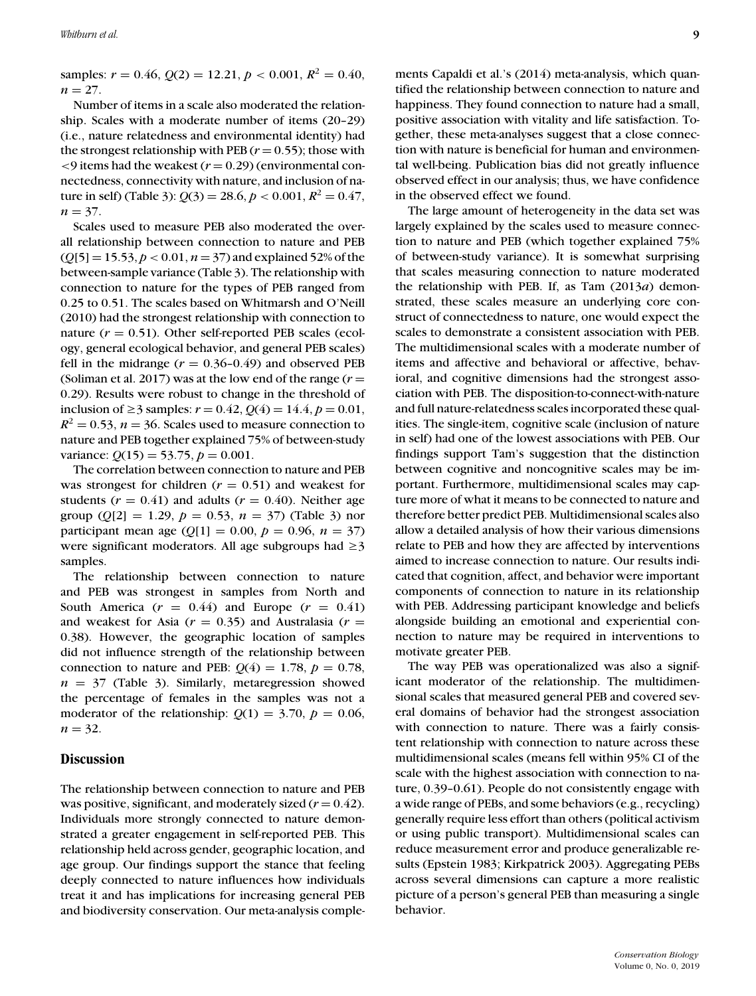samples:  $r = 0.46$ ,  $Q(2) = 12.21$ ,  $p < 0.001$ ,  $R^2 = 0.40$ ,  $n = 27$ .

Number of items in a scale also moderated the relationship. Scales with a moderate number of items (20–29) (i.e., nature relatedness and environmental identity) had the strongest relationship with PEB  $(r = 0.55)$ ; those with  $\leq$ 9 items had the weakest ( $r$  = 0.29) (environmental connectedness, connectivity with nature, and inclusion of nature in self) (Table 3):  $Q(3) = 28.6, p < 0.001, R^2 = 0.47$ ,  $n = 37$ .

Scales used to measure PEB also moderated the overall relationship between connection to nature and PEB (*Q*[5] = 15.53, *p* < 0.01, *n* = 37) and explained 52% of the between-sample variance (Table 3). The relationship with connection to nature for the types of PEB ranged from 0.25 to 0.51. The scales based on Whitmarsh and O'Neill (2010) had the strongest relationship with connection to nature  $(r = 0.51)$ . Other self-reported PEB scales (ecology, general ecological behavior, and general PEB scales) fell in the midrange  $(r = 0.36 - 0.49)$  and observed PEB (Soliman et al. 2017) was at the low end of the range  $(r =$ 0.29). Results were robust to change in the threshold of inclusion of  $\geq$  3 samples:  $r = 0.42$ ,  $Q(4) = 14.4$ ,  $p = 0.01$ ,  $R^2 = 0.53$ ,  $n = 36$ . Scales used to measure connection to nature and PEB together explained 75% of between-study variance:  $Q(15) = 53.75, p = 0.001$ .

The correlation between connection to nature and PEB was strongest for children  $(r = 0.51)$  and weakest for students  $(r = 0.41)$  and adults  $(r = 0.40)$ . Neither age group ( $Q[2] = 1.29$ ,  $p = 0.53$ ,  $n = 37$ ) (Table 3) nor participant mean age  $(Q[1] = 0.00, p = 0.96, n = 37)$ were significant moderators. All age subgroups had  $\geq$ 3 samples.

The relationship between connection to nature and PEB was strongest in samples from North and South America  $(r = 0.44)$  and Europe  $(r = 0.41)$ and weakest for Asia  $(r = 0.35)$  and Australasia  $(r = 1.35)$ 0.38). However, the geographic location of samples did not influence strength of the relationship between connection to nature and PEB:  $Q(4) = 1.78$ ,  $p = 0.78$ ,  $n = 37$  (Table 3). Similarly, metaregression showed the percentage of females in the samples was not a moderator of the relationship:  $Q(1) = 3.70$ ,  $p = 0.06$ ,  $n = 32$ .

## **Discussion**

The relationship between connection to nature and PEB was positive, significant, and moderately sized  $(r = 0.42)$ . Individuals more strongly connected to nature demonstrated a greater engagement in self-reported PEB. This relationship held across gender, geographic location, and age group. Our findings support the stance that feeling deeply connected to nature influences how individuals treat it and has implications for increasing general PEB and biodiversity conservation. Our meta-analysis complements Capaldi et al.'s (2014) meta-analysis, which quantified the relationship between connection to nature and happiness. They found connection to nature had a small, positive association with vitality and life satisfaction. Together, these meta-analyses suggest that a close connection with nature is beneficial for human and environmental well-being. Publication bias did not greatly influence observed effect in our analysis; thus, we have confidence in the observed effect we found.

The large amount of heterogeneity in the data set was largely explained by the scales used to measure connection to nature and PEB (which together explained 75% of between-study variance). It is somewhat surprising that scales measuring connection to nature moderated the relationship with PEB. If, as Tam (2013*a*) demonstrated, these scales measure an underlying core construct of connectedness to nature, one would expect the scales to demonstrate a consistent association with PEB. The multidimensional scales with a moderate number of items and affective and behavioral or affective, behavioral, and cognitive dimensions had the strongest association with PEB. The disposition-to-connect-with-nature and full nature-relatedness scales incorporated these qualities. The single-item, cognitive scale (inclusion of nature in self) had one of the lowest associations with PEB. Our findings support Tam's suggestion that the distinction between cognitive and noncognitive scales may be important. Furthermore, multidimensional scales may capture more of what it means to be connected to nature and therefore better predict PEB. Multidimensional scales also allow a detailed analysis of how their various dimensions relate to PEB and how they are affected by interventions aimed to increase connection to nature. Our results indicated that cognition, affect, and behavior were important components of connection to nature in its relationship with PEB. Addressing participant knowledge and beliefs alongside building an emotional and experiential connection to nature may be required in interventions to motivate greater PEB.

The way PEB was operationalized was also a significant moderator of the relationship. The multidimensional scales that measured general PEB and covered several domains of behavior had the strongest association with connection to nature. There was a fairly consistent relationship with connection to nature across these multidimensional scales (means fell within 95% CI of the scale with the highest association with connection to nature, 0.39–0.61). People do not consistently engage with a wide range of PEBs, and some behaviors (e.g., recycling) generally require less effort than others (political activism or using public transport). Multidimensional scales can reduce measurement error and produce generalizable results (Epstein 1983; Kirkpatrick 2003). Aggregating PEBs across several dimensions can capture a more realistic picture of a person's general PEB than measuring a single behavior.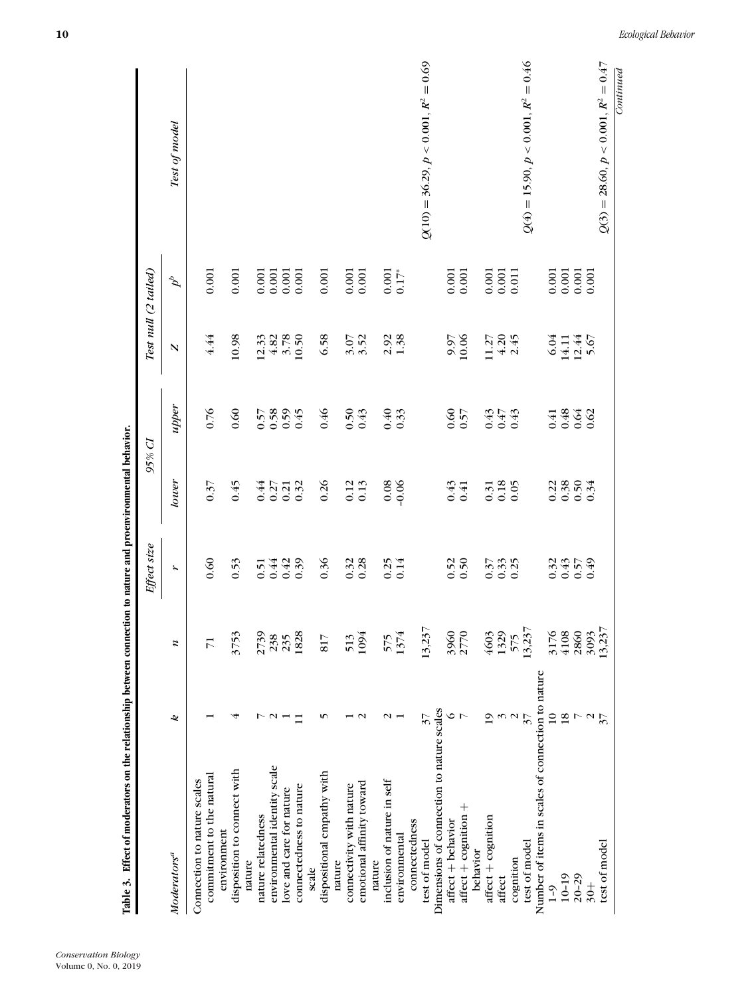| Table 3. Effect of moderators on the relationship between connection to nature and proenvironmental behavior. |                          |             | Effect size      | 95% Cl  |                      | Test null (2 tailed) |         |                                       |
|---------------------------------------------------------------------------------------------------------------|--------------------------|-------------|------------------|---------|----------------------|----------------------|---------|---------------------------------------|
| Moderators <sup>a</sup>                                                                                       | 2                        | z           | r                | lower   | upper                | N                    | $d^b$   | Test of model                         |
|                                                                                                               |                          |             |                  |         |                      |                      |         |                                       |
| commitment to the natural<br>Connection to nature scales                                                      |                          | 17          | 0.60             | 0.37    | 0.76                 | 4.44                 | 0.001   |                                       |
| environment                                                                                                   |                          |             |                  |         |                      |                      |         |                                       |
| disposition to connect with                                                                                   | 4                        | 3753        | 0.53             | 645     | 0.60                 | 10.98                | 0.001   |                                       |
| nature                                                                                                        |                          |             |                  |         |                      |                      |         |                                       |
| nature relatedness                                                                                            | ↖                        |             | 0.51             | 0.44    |                      |                      | 0.001   |                                       |
| environmental identity scale                                                                                  | $\sim$                   | 2739<br>238 | 0.44             | 0.27    | $0.57$<br>0.58       | $12.33$<br>4.82      | 0.001   |                                       |
| love and care for nature                                                                                      |                          | 235         | 0.42             | 0.21    | $0.59$<br>$0.45$     | 3.78                 | 0.001   |                                       |
| connectedness to nature                                                                                       | $\Box$                   | 1828        | 0.39             | 0.32    |                      | 10.50                | 0.001   |                                       |
| scale                                                                                                         |                          |             |                  |         |                      |                      |         |                                       |
| dispositional empathy with                                                                                    | S                        | 817         | 0.36             | 0.26    | 0.46                 | 6.58                 | 0.001   |                                       |
| nature                                                                                                        |                          |             |                  |         |                      |                      |         |                                       |
| connectivity with nature                                                                                      |                          | 513         | $0.32$<br>$0.28$ | 0.12    | $0.50$<br>$0.43$     |                      | 0.001   |                                       |
| emotional affinity toward                                                                                     | $\mathbf{\Omega}$        | 1094        |                  | 0.13    |                      | $3.52$<br>3.52       | 0.001   |                                       |
| nature                                                                                                        |                          |             |                  |         |                      |                      |         |                                       |
| inclusion of nature in self                                                                                   | $\sim$ $-$               | 575         | 0.25             | 0.08    |                      | $2.92$<br>1.38       | 0.001   |                                       |
| environmental                                                                                                 |                          | 1374        | 0.14             | $-0.06$ | $0.40$<br>0.33       |                      | $0.17*$ |                                       |
| connectedness                                                                                                 |                          |             |                  |         |                      |                      |         |                                       |
| test of model                                                                                                 | $\mathcal{E}$            | 13,237      |                  |         |                      |                      |         | $Q(10) = 36.29, p < 0.001, R2 = 0.69$ |
| Dimensions of connection to nature scales                                                                     |                          |             |                  |         |                      |                      |         |                                       |
| affect + behavior                                                                                             | ∘                        | 3960        | 0.52             | 0.43    | 0.60                 | 9.97                 | 0.001   |                                       |
| affect + cognition +                                                                                          |                          | 2770        | 0.50             | 0.41    | 0.57                 | $10.06\,$            | 0.001   |                                       |
| behavior                                                                                                      |                          |             |                  |         |                      |                      |         |                                       |
| affect + cognition                                                                                            | $\overline{1}$           | 4603        | 0.37             | 0.31    |                      | 11.27                | 0.001   |                                       |
| affect                                                                                                        | $\epsilon$               | 1329        | $0.33$<br>$0.25$ | 0.18    | 0.43<br>0.47<br>0.43 | $4.20$<br>2.45       | 0.001   |                                       |
| cognition                                                                                                     | $\mathbf{\Omega}$        | 575         |                  | 0.05    |                      |                      | 0.011   |                                       |
| test of model                                                                                                 | $\overline{\mathcal{E}}$ | 13,237      |                  |         |                      |                      |         | $Q(4) = 15.90, p < 0.001, R^2 = 0.46$ |
| Number of items in scales of connection to nature                                                             |                          |             |                  |         |                      |                      |         |                                       |
| $1 - 9$                                                                                                       | $\overline{a}$           | 3176        | 0.32             | 0.22    |                      | 6.04                 | 0.001   |                                       |
| $10 - 19$                                                                                                     | $\overline{8}$           | 4108        | 0.43             | 0.38    | 43330                | 14.11                | 0.001   |                                       |
| $20 - 29$                                                                                                     |                          | 2860        | 0.57             | 0.50    |                      | $12.44$<br>5.67      | 0.001   |                                       |
| $+8$                                                                                                          |                          | 3093        | 649              | 0.34    |                      |                      | 0.001   |                                       |
| test of model                                                                                                 | $\overline{\mathcal{E}}$ | 13,237      |                  |         |                      |                      |         | $Q(3) = 28.60, p < 0.001, R^2 = 0.47$ |
|                                                                                                               |                          |             |                  |         |                      |                      |         | Continued                             |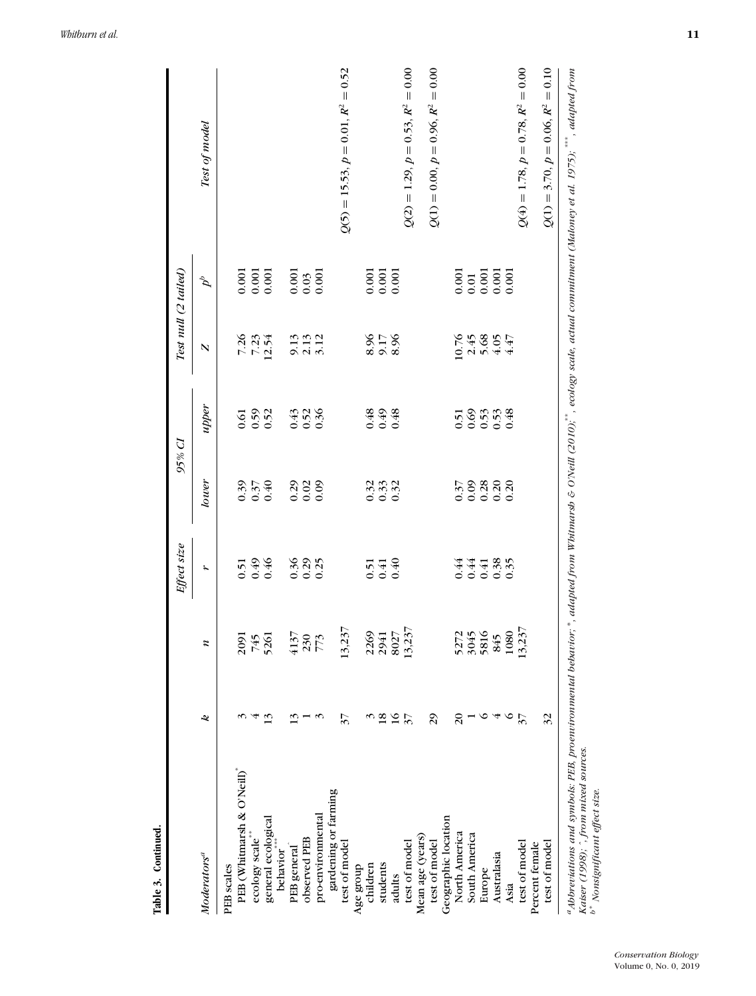|                                                |                          |                                     | Effect size                | 95% CI                     |                        | Test null (2 tailed)           |                                                                                  |                                          |
|------------------------------------------------|--------------------------|-------------------------------------|----------------------------|----------------------------|------------------------|--------------------------------|----------------------------------------------------------------------------------|------------------------------------------|
| Moderators <sup>a</sup>                        | 2                        | $\boldsymbol{z}$                    | r                          | lower                      | upper                  | $\overline{\mathbf{N}}$        | $\sigma^{\rho}$                                                                  | Test of model                            |
| PEB scales                                     |                          |                                     |                            |                            |                        |                                |                                                                                  |                                          |
| PEB (Whitmarsh & O'Neill)*                     |                          |                                     | 0.51                       | 0.39                       |                        |                                |                                                                                  |                                          |
| ecology scale**                                |                          | 745                                 | 0.49                       | 0.37                       | $0.50$<br>$0.52$       | 7.26<br>7.23<br>12.54          | $\begin{array}{c} 0.001 \\ 0.001 \\ 0.001 \end{array}$                           |                                          |
| general ecological<br>behavior <sup>****</sup> | 13                       | 5261                                | 0.46                       | 0.40                       |                        |                                |                                                                                  |                                          |
| PEB general                                    | $\tilde{\bm{\omega}}$    |                                     | 0.36                       | 0.29                       |                        |                                |                                                                                  |                                          |
| observed PEB                                   |                          | $\frac{4137}{230}$                  | $0.29$<br>0.25             | 0.02                       | $0.43$<br>0.52<br>0.36 | 9.13<br>9.13<br>9.13           | $\begin{array}{c} 0.001 \\ 0.03 \\ 0.001 \end{array}$                            |                                          |
| pro-environmental                              |                          |                                     |                            | 0.09                       |                        |                                |                                                                                  |                                          |
| gardening or farming                           |                          |                                     |                            |                            |                        |                                |                                                                                  |                                          |
| test of model                                  | $\mathfrak{z}$           | 13,237                              |                            |                            |                        |                                |                                                                                  | $Q(5) = 15.53, p = 0.01, R2 = 0.52$      |
| Age group                                      |                          |                                     |                            |                            |                        |                                |                                                                                  |                                          |
| children                                       | 3                        |                                     | 0.51                       |                            |                        |                                |                                                                                  |                                          |
| students                                       | $\overline{18}$          |                                     | $0.41$<br>0.40             | $0.32$<br>$0.32$           | 349<br>0.48            | 8.17<br>8.17<br>8.2            | $\begin{array}{c} 0.001 \\ 0.001 \\ 0.001 \end{array}$                           |                                          |
| adults                                         | $\frac{16}{27}$          |                                     |                            |                            |                        |                                |                                                                                  |                                          |
| test of model                                  |                          | 2269<br>2941<br>8027<br>13,237      |                            |                            |                        |                                |                                                                                  | $Q(2) = 1.29, p = 0.53, R2 = 0.00$       |
| Mean age (years)                               |                          |                                     |                            |                            |                        |                                |                                                                                  |                                          |
| test of model                                  | 29                       |                                     |                            |                            |                        |                                |                                                                                  | $Q(1) = 0.00, p = 0.96, R2 = 0.00$       |
| Geographic location                            |                          |                                     |                            |                            |                        |                                |                                                                                  |                                          |
| North America                                  | $\approx$                |                                     | 0.44                       | 0.37                       |                        |                                |                                                                                  |                                          |
| South America                                  |                          |                                     |                            | 0.09                       |                        |                                |                                                                                  |                                          |
| Europe                                         | ∘                        |                                     |                            |                            |                        |                                |                                                                                  |                                          |
| Australasia                                    | 4                        |                                     | $0.44$<br>$0.38$<br>$0.05$ | $0.38$<br>$0.30$<br>$0.30$ | 558538                 | 0.748<br>2.458<br>2.47<br>4.47 | $\begin{array}{c} 0.001 \\ 0.01 \\ 0.001 \\ 0.001 \\ 0.001 \\ 0.001 \end{array}$ |                                          |
| Asia                                           | $\circ$                  | 5272<br>3045<br>3816<br>845<br>1080 |                            |                            |                        |                                |                                                                                  |                                          |
| test of model                                  | $\overline{\mathcal{E}}$ | 13,237                              |                            |                            |                        |                                |                                                                                  | $Q(4) = 1.78, p = 0.78, R2 = 0.00$       |
| Percent female                                 |                          |                                     |                            |                            |                        |                                |                                                                                  |                                          |
| test of model                                  | 32                       |                                     |                            |                            |                        |                                |                                                                                  | $= 0.10$<br>$Q(1) = 3.70, p = 0.06, R^2$ |

*Whitburn et al.* **11**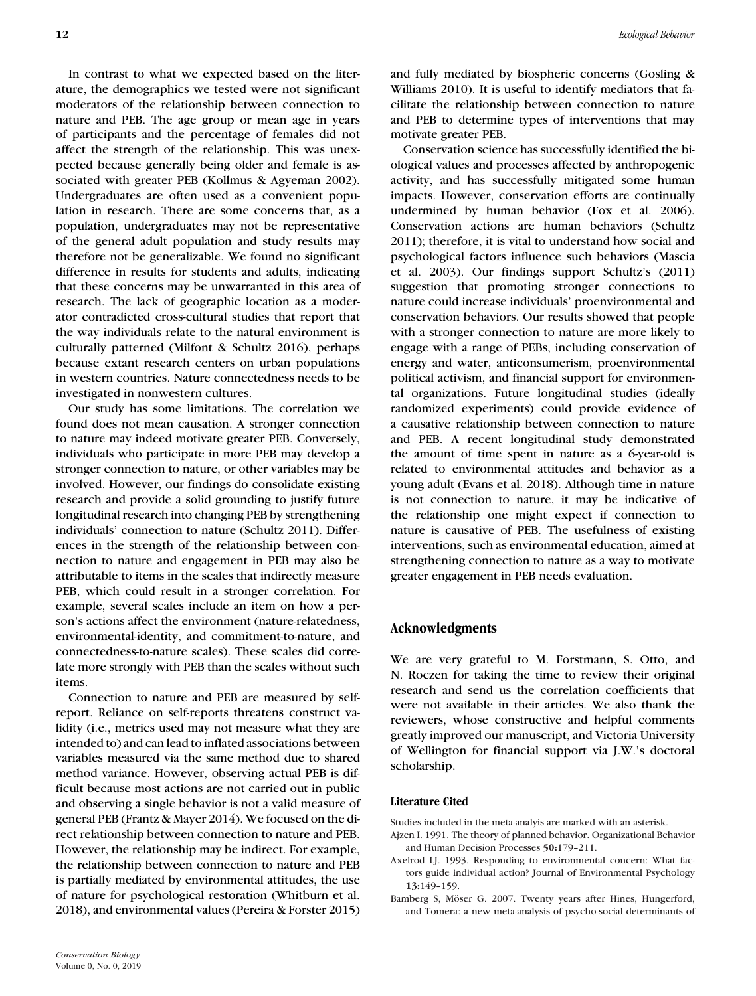In contrast to what we expected based on the literature, the demographics we tested were not significant moderators of the relationship between connection to nature and PEB. The age group or mean age in years of participants and the percentage of females did not affect the strength of the relationship. This was unexpected because generally being older and female is associated with greater PEB (Kollmus & Agyeman 2002). Undergraduates are often used as a convenient population in research. There are some concerns that, as a population, undergraduates may not be representative of the general adult population and study results may therefore not be generalizable. We found no significant difference in results for students and adults, indicating that these concerns may be unwarranted in this area of research. The lack of geographic location as a moderator contradicted cross-cultural studies that report that the way individuals relate to the natural environment is culturally patterned (Milfont & Schultz 2016), perhaps because extant research centers on urban populations in western countries. Nature connectedness needs to be investigated in nonwestern cultures.

Our study has some limitations. The correlation we found does not mean causation. A stronger connection to nature may indeed motivate greater PEB. Conversely, individuals who participate in more PEB may develop a stronger connection to nature, or other variables may be involved. However, our findings do consolidate existing research and provide a solid grounding to justify future longitudinal research into changing PEB by strengthening individuals' connection to nature (Schultz 2011). Differences in the strength of the relationship between connection to nature and engagement in PEB may also be attributable to items in the scales that indirectly measure PEB, which could result in a stronger correlation. For example, several scales include an item on how a person's actions affect the environment (nature-relatedness, environmental-identity, and commitment-to-nature, and connectedness-to-nature scales). These scales did correlate more strongly with PEB than the scales without such items.

Connection to nature and PEB are measured by selfreport. Reliance on self-reports threatens construct validity (i.e., metrics used may not measure what they are intended to) and can lead to inflated associations between variables measured via the same method due to shared method variance. However, observing actual PEB is difficult because most actions are not carried out in public and observing a single behavior is not a valid measure of general PEB (Frantz & Mayer 2014). We focused on the direct relationship between connection to nature and PEB. However, the relationship may be indirect. For example, the relationship between connection to nature and PEB is partially mediated by environmental attitudes, the use of nature for psychological restoration (Whitburn et al. 2018), and environmental values (Pereira & Forster 2015)

and fully mediated by biospheric concerns (Gosling & Williams 2010). It is useful to identify mediators that facilitate the relationship between connection to nature and PEB to determine types of interventions that may motivate greater PEB.

Conservation science has successfully identified the biological values and processes affected by anthropogenic activity, and has successfully mitigated some human impacts. However, conservation efforts are continually undermined by human behavior (Fox et al. 2006). Conservation actions are human behaviors (Schultz 2011); therefore, it is vital to understand how social and psychological factors influence such behaviors (Mascia et al. 2003). Our findings support Schultz's (2011) suggestion that promoting stronger connections to nature could increase individuals' proenvironmental and conservation behaviors. Our results showed that people with a stronger connection to nature are more likely to engage with a range of PEBs, including conservation of energy and water, anticonsumerism, proenvironmental political activism, and financial support for environmental organizations. Future longitudinal studies (ideally randomized experiments) could provide evidence of a causative relationship between connection to nature and PEB. A recent longitudinal study demonstrated the amount of time spent in nature as a 6-year-old is related to environmental attitudes and behavior as a young adult (Evans et al. 2018). Although time in nature is not connection to nature, it may be indicative of the relationship one might expect if connection to nature is causative of PEB. The usefulness of existing interventions, such as environmental education, aimed at strengthening connection to nature as a way to motivate greater engagement in PEB needs evaluation.

## **Acknowledgments**

We are very grateful to M. Forstmann, S. Otto, and N. Roczen for taking the time to review their original research and send us the correlation coefficients that were not available in their articles. We also thank the reviewers, whose constructive and helpful comments greatly improved our manuscript, and Victoria University of Wellington for financial support via J.W.'s doctoral scholarship.

#### **Literature Cited**

Studies included in the meta-analyis are marked with an asterisk.

- Ajzen I. 1991. The theory of planned behavior. Organizational Behavior and Human Decision Processes **50:**179–211.
- Axelrod LJ. 1993. Responding to environmental concern: What factors guide individual action? Journal of Environmental Psychology **13:**149–159.
- Bamberg S, Möser G. 2007. Twenty years after Hines, Hungerford, and Tomera: a new meta-analysis of psycho-social determinants of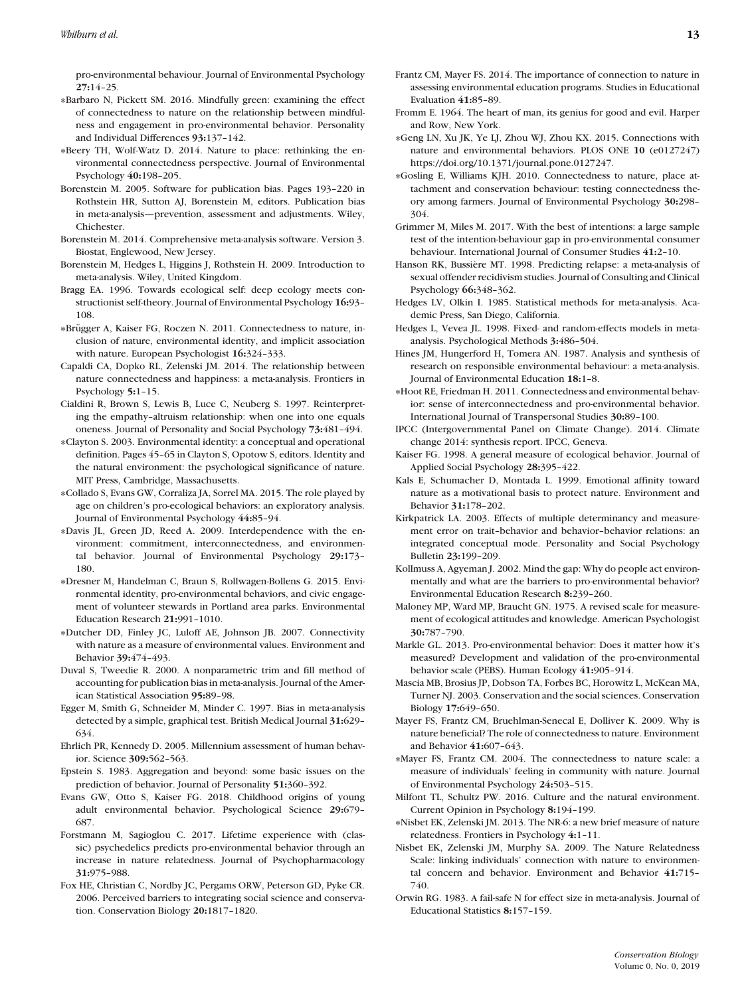pro-environmental behaviour. Journal of Environmental Psychology **27:**14–25.

- ∗Barbaro N, Pickett SM. 2016. Mindfully green: examining the effect of connectedness to nature on the relationship between mindfulness and engagement in pro-environmental behavior. Personality and Individual Differences **93:**137–142.
- ∗Beery TH, Wolf-Watz D. 2014. Nature to place: rethinking the environmental connectedness perspective. Journal of Environmental Psychology **40:**198–205.
- Borenstein M. 2005. Software for publication bias. Pages 193–220 in Rothstein HR, Sutton AJ, Borenstein M, editors. Publication bias in meta-analysis—prevention, assessment and adjustments. Wiley, Chichester.
- Borenstein M. 2014. Comprehensive meta-analysis software. Version 3. Biostat, Englewood, New Jersey.
- Borenstein M, Hedges L, Higgins J, Rothstein H. 2009. Introduction to meta-analysis. Wiley, United Kingdom.
- Bragg EA. 1996. Towards ecological self: deep ecology meets constructionist self-theory. Journal of Environmental Psychology **16:**93– 108.
- ∗Brugger A, Kaiser FG, Roczen N. 2011. Connectedness to nature, in- ¨ clusion of nature, environmental identity, and implicit association with nature. European Psychologist **16:**324–333.
- Capaldi CA, Dopko RL, Zelenski JM. 2014. The relationship between nature connectedness and happiness: a meta-analysis. Frontiers in Psychology **5:**1–15.
- Cialdini R, Brown S, Lewis B, Luce C, Neuberg S. 1997. Reinterpreting the empathy–altruism relationship: when one into one equals oneness. Journal of Personality and Social Psychology **73:**481–494.
- ∗Clayton S. 2003. Environmental identity: a conceptual and operational definition. Pages 45–65 in Clayton S, Opotow S, editors. Identity and the natural environment: the psychological significance of nature. MIT Press, Cambridge, Massachusetts.
- ∗Collado S, Evans GW, Corraliza JA, Sorrel MA. 2015. The role played by age on children's pro-ecological behaviors: an exploratory analysis. Journal of Environmental Psychology **44:**85–94.
- ∗Davis JL, Green JD, Reed A. 2009. Interdependence with the environment: commitment, interconnectedness, and environmental behavior. Journal of Environmental Psychology **29:**173– 180.
- ∗Dresner M, Handelman C, Braun S, Rollwagen-Bollens G. 2015. Environmental identity, pro-environmental behaviors, and civic engagement of volunteer stewards in Portland area parks. Environmental Education Research **21:**991–1010.
- ∗Dutcher DD, Finley JC, Luloff AE, Johnson JB. 2007. Connectivity with nature as a measure of environmental values. Environment and Behavior **39:**474–493.
- Duval S, Tweedie R. 2000. A nonparametric trim and fill method of accounting for publication bias in meta-analysis. Journal of the American Statistical Association **95:**89–98.
- Egger M, Smith G, Schneider M, Minder C. 1997. Bias in meta-analysis detected by a simple, graphical test. British Medical Journal **31:**629– 634.
- Ehrlich PR, Kennedy D. 2005. Millennium assessment of human behavior. Science **309:**562–563.
- Epstein S. 1983. Aggregation and beyond: some basic issues on the prediction of behavior. Journal of Personality **51:**360–392.
- Evans GW, Otto S, Kaiser FG. 2018. Childhood origins of young adult environmental behavior. Psychological Science **29:**679– 687.
- Forstmann M, Sagioglou C. 2017. Lifetime experience with (classic) psychedelics predicts pro-environmental behavior through an increase in nature relatedness. Journal of Psychopharmacology **31:**975–988.
- Fox HE, Christian C, Nordby JC, Pergams ORW, Peterson GD, Pyke CR. 2006. Perceived barriers to integrating social science and conservation. Conservation Biology **20:**1817–1820.
- Frantz CM, Mayer FS. 2014. The importance of connection to nature in assessing environmental education programs. Studies in Educational Evaluation **41:**85–89.
- Fromm E. 1964. The heart of man, its genius for good and evil. Harper and Row, New York.
- ∗Geng LN, Xu JK, Ye LJ, Zhou WJ, Zhou KX. 2015. Connections with nature and environmental behaviors. PLOS ONE **10** (e0127247) [https://doi.org/10.1371/journal.pone.0127247.](https://doi.org/10.1371/journal.pone.0127247)
- ∗Gosling E, Williams KJH. 2010. Connectedness to nature, place attachment and conservation behaviour: testing connectedness theory among farmers. Journal of Environmental Psychology **30:**298– 304.
- Grimmer M, Miles M. 2017. With the best of intentions: a large sample test of the intention-behaviour gap in pro-environmental consumer behaviour. International Journal of Consumer Studies **41:**2–10.
- Hanson RK, Bussière MT. 1998. Predicting relapse: a meta-analysis of sexual offender recidivism studies. Journal of Consulting and Clinical Psychology **66:**348–362.
- Hedges LV, Olkin I. 1985. Statistical methods for meta-analysis. Academic Press, San Diego, California.
- Hedges L, Vevea JL. 1998. Fixed- and random-effects models in metaanalysis. Psychological Methods **3:**486–504.
- Hines JM, Hungerford H, Tomera AN. 1987. Analysis and synthesis of research on responsible environmental behaviour: a meta-analysis. Journal of Environmental Education **18:**1–8.
- ∗Hoot RE, Friedman H. 2011. Connectedness and environmental behavior: sense of interconnectedness and pro-environmental behavior. International Journal of Transpersonal Studies **30:**89–100.
- IPCC (Intergovernmental Panel on Climate Change). 2014. Climate change 2014: synthesis report. IPCC, Geneva.
- Kaiser FG. 1998. A general measure of ecological behavior. Journal of Applied Social Psychology **28:**395–422.
- Kals E, Schumacher D, Montada L. 1999. Emotional affinity toward nature as a motivational basis to protect nature. Environment and Behavior **31:**178–202.
- Kirkpatrick LA. 2003. Effects of multiple determinancy and measurement error on trait–behavior and behavior–behavior relations: an integrated conceptual mode. Personality and Social Psychology Bulletin **23:**199–209.
- Kollmuss A, Agyeman J. 2002. Mind the gap: Why do people act environmentally and what are the barriers to pro-environmental behavior? Environmental Education Research **8:**239–260.
- Maloney MP, Ward MP, Braucht GN. 1975. A revised scale for measurement of ecological attitudes and knowledge. American Psychologist **30:**787–790.
- Markle GL. 2013. Pro-environmental behavior: Does it matter how it's measured? Development and validation of the pro-environmental behavior scale (PEBS). Human Ecology **41:**905–914.
- Mascia MB, Brosius JP, Dobson TA, Forbes BC, Horowitz L, McKean MA, Turner NJ. 2003. Conservation and the social sciences. Conservation Biology **17:**649–650.
- Mayer FS, Frantz CM, Bruehlman-Senecal E, Dolliver K. 2009. Why is nature beneficial? The role of connectedness to nature. Environment and Behavior **41:**607–643.
- ∗Mayer FS, Frantz CM. 2004. The connectedness to nature scale: a measure of individuals' feeling in community with nature. Journal of Environmental Psychology **24:**503–515.
- Milfont TL, Schultz PW. 2016. Culture and the natural environment. Current Opinion in Psychology **8:**194–199.
- ∗Nisbet EK, Zelenski JM. 2013. The NR-6: a new brief measure of nature relatedness. Frontiers in Psychology **4:**1–11.
- Nisbet EK, Zelenski JM, Murphy SA. 2009. The Nature Relatedness Scale: linking individuals' connection with nature to environmental concern and behavior. Environment and Behavior **41:**715– 740.
- Orwin RG. 1983. A fail-safe N for effect size in meta-analysis. Journal of Educational Statistics **8:**157–159.